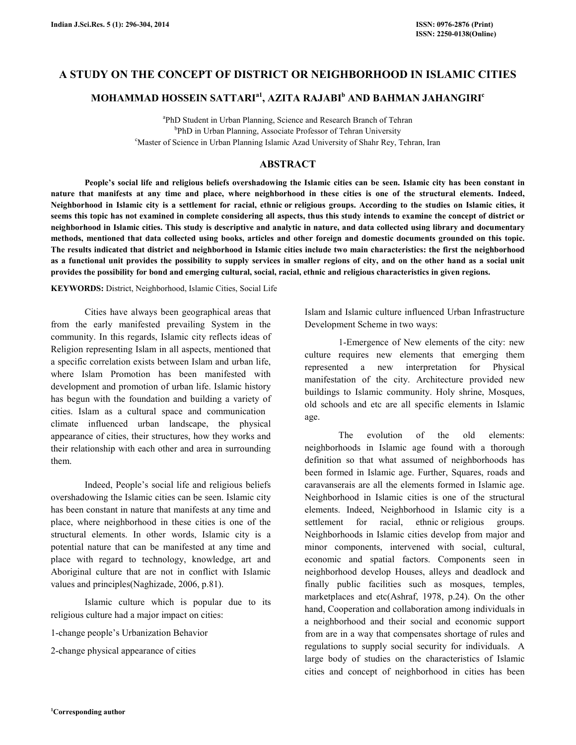# A STUDY ON THE CONCEPT OF DISTRICT OR NEIGHBORHOOD IN ISLAMIC CITIES

# MOHAMMAD HOSSEIN SATTARI $^{\rm a}$ 1, AZITA RAJABI $^{\rm b}$  AND BAHMAN JAHANGIRI $^{\rm c}$

a PhD Student in Urban Planning, Science and Research Branch of Tehran <sup>b</sup>PhD in Urban Planning, Associate Professor of Tehran University <sup>c</sup>Master of Science in Urban Planning Islamic Azad University of Shahr Rey, Tehran, Iran

### ABSTRACT

 People's social life and religious beliefs overshadowing the Islamic cities can be seen. Islamic city has been constant in nature that manifests at any time and place, where neighborhood in these cities is one of the structural elements. Indeed, Neighborhood in Islamic city is a settlement for racial, ethnic or religious groups. According to the studies on Islamic cities, it seems this topic has not examined in complete considering all aspects, thus this study intends to examine the concept of district or neighborhood in Islamic cities. This study is descriptive and analytic in nature, and data collected using library and documentary methods, mentioned that data collected using books, articles and other foreign and domestic documents grounded on this topic. The results indicated that district and neighborhood in Islamic cities include two main characteristics: the first the neighborhood as a functional unit provides the possibility to supply services in smaller regions of city, and on the other hand as a social unit provides the possibility for bond and emerging cultural, social, racial, ethnic and religious characteristics in given regions.

KEYWORDS: District, Neighborhood, Islamic Cities, Social Life

 Cities have always been geographical areas that from the early manifested prevailing System in the community. In this regards, Islamic city reflects ideas of Religion representing Islam in all aspects, mentioned that a specific correlation exists between Islam and urban life, where Islam Promotion has been manifested with development and promotion of urban life. Islamic history has begun with the foundation and building a variety of cities. Islam as a cultural space and communication climate influenced urban landscape, the physical appearance of cities, their structures, how they works and their relationship with each other and area in surrounding them.

 Indeed, People's social life and religious beliefs overshadowing the Islamic cities can be seen. Islamic city has been constant in nature that manifests at any time and place, where neighborhood in these cities is one of the structural elements. In other words, Islamic city is a potential nature that can be manifested at any time and place with regard to technology, knowledge, art and Aboriginal culture that are not in conflict with Islamic values and principles(Naghizade, 2006, p.81).

 Islamic culture which is popular due to its religious culture had a major impact on cities:

1-change people's Urbanization Behavior

2-change physical appearance of cities

Islam and Islamic culture influenced Urban Infrastructure Development Scheme in two ways:

 1-Emergence of New elements of the city: new culture requires new elements that emerging them represented a new interpretation for Physical manifestation of the city. Architecture provided new buildings to Islamic community. Holy shrine, Mosques, old schools and etc are all specific elements in Islamic age.

 The evolution of the old elements: neighborhoods in Islamic age found with a thorough definition so that what assumed of neighborhoods has been formed in Islamic age. Further, Squares, roads and caravanserais are all the elements formed in Islamic age. Neighborhood in Islamic cities is one of the structural elements. Indeed, Neighborhood in Islamic city is a settlement for racial, ethnic or religious groups. Neighborhoods in Islamic cities develop from major and minor components, intervened with social, cultural, economic and spatial factors. Components seen in neighborhood develop Houses, alleys and deadlock and finally public facilities such as mosques, temples, marketplaces and etc(Ashraf, 1978, p.24). On the other hand, Cooperation and collaboration among individuals in a neighborhood and their social and economic support from are in a way that compensates shortage of rules and regulations to supply social security for individuals. A large body of studies on the characteristics of Islamic cities and concept of neighborhood in cities has been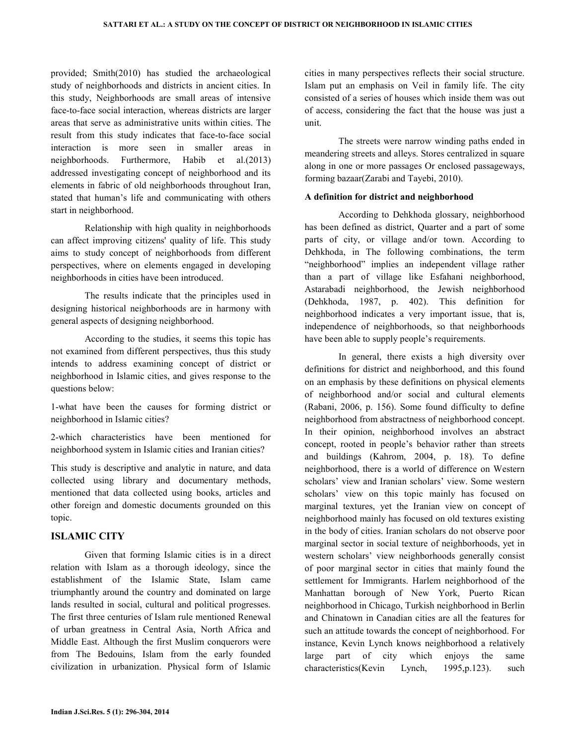provided; Smith(2010) has studied the archaeological study of neighborhoods and districts in ancient cities. In this study, Neighborhoods are small areas of intensive face-to-face social interaction, whereas districts are larger areas that serve as administrative units within cities. The result from this study indicates that face-to-face social interaction is more seen in smaller areas in neighborhoods. Furthermore, Habib et al.(2013) addressed investigating concept of neighborhood and its elements in fabric of old neighborhoods throughout Iran, stated that human's life and communicating with others start in neighborhood.

 Relationship with high quality in neighborhoods can affect improving citizens' quality of life. This study aims to study concept of neighborhoods from different perspectives, where on elements engaged in developing neighborhoods in cities have been introduced.

 The results indicate that the principles used in designing historical neighborhoods are in harmony with general aspects of designing neighborhood.

 According to the studies, it seems this topic has not examined from different perspectives, thus this study intends to address examining concept of district or neighborhood in Islamic cities, and gives response to the questions below:

1-what have been the causes for forming district or neighborhood in Islamic cities?

2-which characteristics have been mentioned for neighborhood system in Islamic cities and Iranian cities?

This study is descriptive and analytic in nature, and data collected using library and documentary methods, mentioned that data collected using books, articles and other foreign and domestic documents grounded on this topic.

## ISLAMIC CITY

 Given that forming Islamic cities is in a direct relation with Islam as a thorough ideology, since the establishment of the Islamic State, Islam came triumphantly around the country and dominated on large lands resulted in social, cultural and political progresses. The first three centuries of Islam rule mentioned Renewal of urban greatness in Central Asia, North Africa and Middle East. Although the first Muslim conquerors were from The Bedouins, Islam from the early founded civilization in urbanization. Physical form of Islamic cities in many perspectives reflects their social structure. Islam put an emphasis on Veil in family life. The city consisted of a series of houses which inside them was out of access, considering the fact that the house was just a unit.

 The streets were narrow winding paths ended in meandering streets and alleys. Stores centralized in square along in one or more passages Or enclosed passageways, forming bazaar(Zarabi and Tayebi, 2010).

### A definition for district and neighborhood

 According to Dehkhoda glossary, neighborhood has been defined as district, Quarter and a part of some parts of city, or village and/or town. According to Dehkhoda, in The following combinations, the term "neighborhood" implies an independent village rather than a part of village like Esfahani neighborhood, Astarabadi neighborhood, the Jewish neighborhood (Dehkhoda, 1987, p. 402). This definition for neighborhood indicates a very important issue, that is, independence of neighborhoods, so that neighborhoods have been able to supply people's requirements.

 In general, there exists a high diversity over definitions for district and neighborhood, and this found on an emphasis by these definitions on physical elements of neighborhood and/or social and cultural elements (Rabani, 2006, p. 156). Some found difficulty to define neighborhood from abstractness of neighborhood concept. In their opinion, neighborhood involves an abstract concept, rooted in people's behavior rather than streets and buildings (Kahrom, 2004, p. 18). To define neighborhood, there is a world of difference on Western scholars' view and Iranian scholars' view. Some western scholars' view on this topic mainly has focused on marginal textures, yet the Iranian view on concept of neighborhood mainly has focused on old textures existing in the body of cities. Iranian scholars do not observe poor marginal sector in social texture of neighborhoods, yet in western scholars' view neighborhoods generally consist of poor marginal sector in cities that mainly found the settlement for Immigrants. Harlem neighborhood of the Manhattan borough of New York, Puerto Rican neighborhood in Chicago, Turkish neighborhood in Berlin and Chinatown in Canadian cities are all the features for such an attitude towards the concept of neighborhood. For instance, Kevin Lynch knows neighborhood a relatively large part of city which enjoys the same characteristics(Kevin Lynch, 1995,p.123). such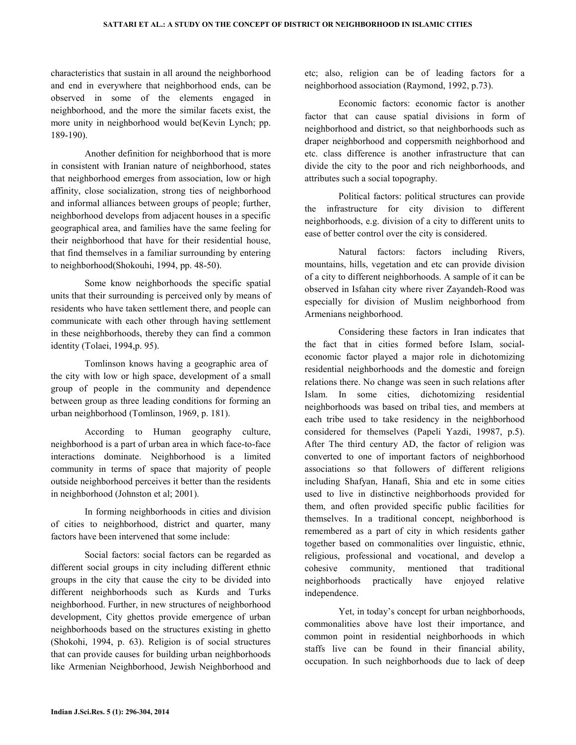characteristics that sustain in all around the neighborhood and end in everywhere that neighborhood ends, can be observed in some of the elements engaged in neighborhood, and the more the similar facets exist, the more unity in neighborhood would be(Kevin Lynch; pp. 189-190).

 Another definition for neighborhood that is more in consistent with Iranian nature of neighborhood, states that neighborhood emerges from association, low or high affinity, close socialization, strong ties of neighborhood and informal alliances between groups of people; further, neighborhood develops from adjacent houses in a specific geographical area, and families have the same feeling for their neighborhood that have for their residential house, that find themselves in a familiar surrounding by entering to neighborhood(Shokouhi, 1994, pp. 48-50).

 Some know neighborhoods the specific spatial units that their surrounding is perceived only by means of residents who have taken settlement there, and people can communicate with each other through having settlement in these neighborhoods, thereby they can find a common identity (Tolaei, 1994,p. 95).

 Tomlinson knows having a geographic area of the city with low or high space, development of a small group of people in the community and dependence between group as three leading conditions for forming an urban neighborhood (Tomlinson, 1969, p. 181).

 According to Human geography culture, neighborhood is a part of urban area in which face-to-face interactions dominate. Neighborhood is a limited community in terms of space that majority of people outside neighborhood perceives it better than the residents in neighborhood (Johnston et al; 2001).

 In forming neighborhoods in cities and division of cities to neighborhood, district and quarter, many factors have been intervened that some include:

 Social factors: social factors can be regarded as different social groups in city including different ethnic groups in the city that cause the city to be divided into different neighborhoods such as Kurds and Turks neighborhood. Further, in new structures of neighborhood development, City ghettos provide emergence of urban neighborhoods based on the structures existing in ghetto (Shokohi, 1994, p. 63). Religion is of social structures that can provide causes for building urban neighborhoods like Armenian Neighborhood, Jewish Neighborhood and

etc; also, religion can be of leading factors for a neighborhood association (Raymond, 1992, p.73).

 Economic factors: economic factor is another factor that can cause spatial divisions in form of neighborhood and district, so that neighborhoods such as draper neighborhood and coppersmith neighborhood and etc. class difference is another infrastructure that can divide the city to the poor and rich neighborhoods, and attributes such a social topography.

 Political factors: political structures can provide the infrastructure for city division to different neighborhoods, e.g. division of a city to different units to ease of better control over the city is considered.

 Natural factors: factors including Rivers, mountains, hills, vegetation and etc can provide division of a city to different neighborhoods. A sample of it can be observed in Isfahan city where river Zayandeh-Rood was especially for division of Muslim neighborhood from Armenians neighborhood.

 Considering these factors in Iran indicates that the fact that in cities formed before Islam, socialeconomic factor played a major role in dichotomizing residential neighborhoods and the domestic and foreign relations there. No change was seen in such relations after Islam. In some cities, dichotomizing residential neighborhoods was based on tribal ties, and members at each tribe used to take residency in the neighborhood considered for themselves (Papeli Yazdi, 19987, p.5). After The third century AD, the factor of religion was converted to one of important factors of neighborhood associations so that followers of different religions including Shafyan, Hanafi, Shia and etc in some cities used to live in distinctive neighborhoods provided for them, and often provided specific public facilities for themselves. In a traditional concept, neighborhood is remembered as a part of city in which residents gather together based on commonalities over linguistic, ethnic, religious, professional and vocational, and develop a cohesive community, mentioned that traditional neighborhoods practically have enjoyed relative independence.

 Yet, in today's concept for urban neighborhoods, commonalities above have lost their importance, and common point in residential neighborhoods in which staffs live can be found in their financial ability, occupation. In such neighborhoods due to lack of deep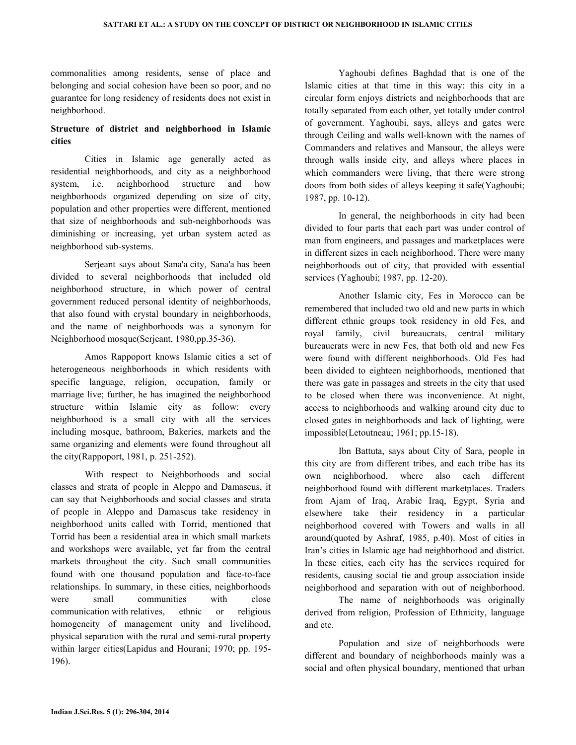commonalities among residents, sense of place and belonging and social cohesion have been so poor, and no guarantee for long residency of residents does not exist in neighborhood.

## Structure of district and neighborhood in Islamic cities

 Cities in Islamic age generally acted as residential neighborhoods, and city as a neighborhood system, i.e. neighborhood structure and how neighborhoods organized depending on size of city, population and other properties were different, mentioned that size of neighborhoods and sub-neighborhoods was diminishing or increasing, yet urban system acted as neighborhood sub-systems.

 Serjeant says about Sana'a city, Sana'a has been divided to several neighborhoods that included old neighborhood structure, in which power of central government reduced personal identity of neighborhoods, that also found with crystal boundary in neighborhoods, and the name of neighborhoods was a synonym for Neighborhood mosque(Serjeant, 1980,pp.35-36).

 Amos Rappoport knows Islamic cities a set of heterogeneous neighborhoods in which residents with specific language, religion, occupation, family or marriage live; further, he has imagined the neighborhood structure within Islamic city as follow: every neighborhood is a small city with all the services including mosque, bathroom, Bakeries, markets and the same organizing and elements were found throughout all the city(Rappoport, 1981, p. 251-252).

 With respect to Neighborhoods and social classes and strata of people in Aleppo and Damascus, it can say that Neighborhoods and social classes and strata of people in Aleppo and Damascus take residency in neighborhood units called with Torrid, mentioned that Torrid has been a residential area in which small markets and workshops were available, yet far from the central markets throughout the city. Such small communities found with one thousand population and face-to-face relationships. In summary, in these cities, neighborhoods were small communities with close communication with relatives, ethnic or religious homogeneity of management unity and livelihood, physical separation with the rural and semi-rural property within larger cities(Lapidus and Hourani; 1970; pp. 195- 196).

 Yaghoubi defines Baghdad that is one of the Islamic cities at that time in this way: this city in a circular form enjoys districts and neighborhoods that are totally separated from each other, yet totally under control of government. Yaghoubi, says, alleys and gates were through Ceiling and walls well-known with the names of Commanders and relatives and Mansour, the alleys were through walls inside city, and alleys where places in which commanders were living, that there were strong doors from both sides of alleys keeping it safe(Yaghoubi; 1987, pp. 10-12).

 In general, the neighborhoods in city had been divided to four parts that each part was under control of man from engineers, and passages and marketplaces were in different sizes in each neighborhood. There were many neighborhoods out of city, that provided with essential services (Yaghoubi; 1987, pp. 12-20).

 Another Islamic city, Fes in Morocco can be remembered that included two old and new parts in which different ethnic groups took residency in old Fes, and royal family, civil bureaucrats, central military bureaucrats were in new Fes, that both old and new Fes were found with different neighborhoods. Old Fes had been divided to eighteen neighborhoods, mentioned that there was gate in passages and streets in the city that used to be closed when there was inconvenience. At night, access to neighborhoods and walking around city due to closed gates in neighborhoods and lack of lighting, were impossible(Letoutneau; 1961; pp.15-18).

 Ibn Battuta, says about City of Sara, people in this city are from different tribes, and each tribe has its own neighborhood, where also each different neighborhood found with different marketplaces. Traders from Ajam of Iraq, Arabic Iraq, Egypt, Syria and elsewhere take their residency in a particular neighborhood covered with Towers and walls in all around(quoted by Ashraf, 1985, p.40). Most of cities in Iran's cities in Islamic age had neighborhood and district. In these cities, each city has the services required for residents, causing social tie and group association inside neighborhood and separation with out of neighborhood.

 The name of neighborhoods was originally derived from religion, Profession of Ethnicity, language and etc.

 Population and size of neighborhoods were different and boundary of neighborhoods mainly was a social and often physical boundary, mentioned that urban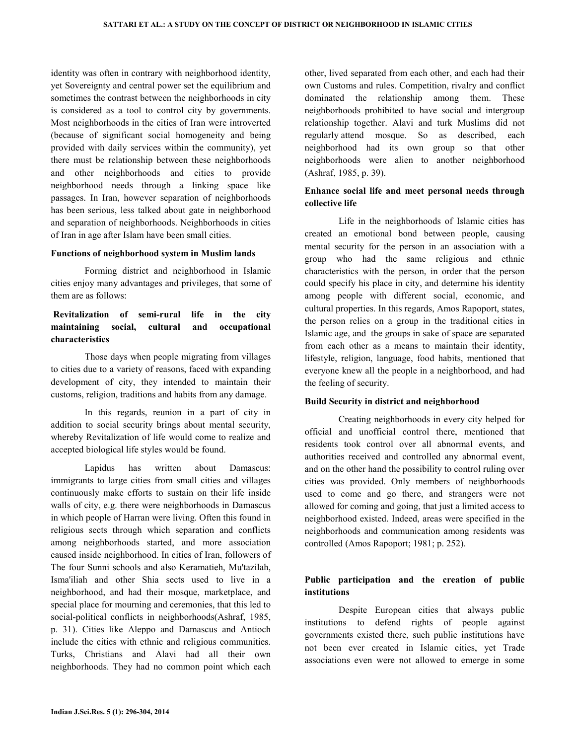identity was often in contrary with neighborhood identity, yet Sovereignty and central power set the equilibrium and sometimes the contrast between the neighborhoods in city is considered as a tool to control city by governments. Most neighborhoods in the cities of Iran were introverted (because of significant social homogeneity and being provided with daily services within the community), yet there must be relationship between these neighborhoods and other neighborhoods and cities to provide neighborhood needs through a linking space like passages. In Iran, however separation of neighborhoods has been serious, less talked about gate in neighborhood and separation of neighborhoods. Neighborhoods in cities of Iran in age after Islam have been small cities.

#### Functions of neighborhood system in Muslim lands

 Forming district and neighborhood in Islamic cities enjoy many advantages and privileges, that some of them are as follows:

# Revitalization of semi-rural life in the city maintaining social, cultural and occupational characteristics

 Those days when people migrating from villages to cities due to a variety of reasons, faced with expanding development of city, they intended to maintain their customs, religion, traditions and habits from any damage.

 In this regards, reunion in a part of city in addition to social security brings about mental security, whereby Revitalization of life would come to realize and accepted biological life styles would be found.

 Lapidus has written about Damascus: immigrants to large cities from small cities and villages continuously make efforts to sustain on their life inside walls of city, e.g. there were neighborhoods in Damascus in which people of Harran were living. Often this found in religious sects through which separation and conflicts among neighborhoods started, and more association caused inside neighborhood. In cities of Iran, followers of The four Sunni schools and also Keramatieh, Mu'tazilah, Isma'iliah and other Shia sects used to live in a neighborhood, and had their mosque, marketplace, and special place for mourning and ceremonies, that this led to social-political conflicts in neighborhoods(Ashraf, 1985, p. 31). Cities like Aleppo and Damascus and Antioch include the cities with ethnic and religious communities. Turks, Christians and Alavi had all their own neighborhoods. They had no common point which each

other, lived separated from each other, and each had their own Customs and rules. Competition, rivalry and conflict dominated the relationship among them. These neighborhoods prohibited to have social and intergroup relationship together. Alavi and turk Muslims did not regularly attend mosque. So as described, each neighborhood had its own group so that other neighborhoods were alien to another neighborhood (Ashraf, 1985, p. 39).

### Enhance social life and meet personal needs through collective life

 Life in the neighborhoods of Islamic cities has created an emotional bond between people, causing mental security for the person in an association with a group who had the same religious and ethnic characteristics with the person, in order that the person could specify his place in city, and determine his identity among people with different social, economic, and cultural properties. In this regards, Amos Rapoport, states, the person relies on a group in the traditional cities in Islamic age, and the groups in sake of space are separated from each other as a means to maintain their identity, lifestyle, religion, language, food habits, mentioned that everyone knew all the people in a neighborhood, and had the feeling of security.

#### Build Security in district and neighborhood

 Creating neighborhoods in every city helped for official and unofficial control there, mentioned that residents took control over all abnormal events, and authorities received and controlled any abnormal event, and on the other hand the possibility to control ruling over cities was provided. Only members of neighborhoods used to come and go there, and strangers were not allowed for coming and going, that just a limited access to neighborhood existed. Indeed, areas were specified in the neighborhoods and communication among residents was controlled (Amos Rapoport; 1981; p. 252).

### Public participation and the creation of public institutions

 Despite European cities that always public institutions to defend rights of people against governments existed there, such public institutions have not been ever created in Islamic cities, yet Trade associations even were not allowed to emerge in some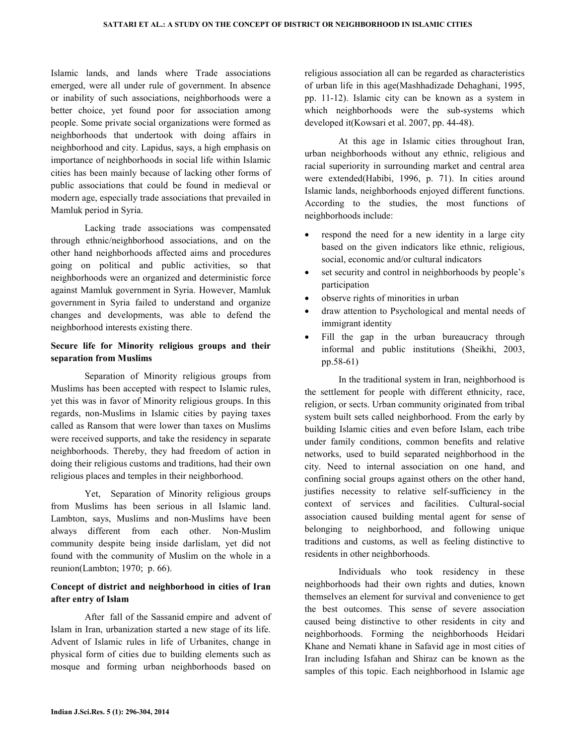Islamic lands, and lands where Trade associations emerged, were all under rule of government. In absence or inability of such associations, neighborhoods were a better choice, yet found poor for association among people. Some private social organizations were formed as neighborhoods that undertook with doing affairs in neighborhood and city. Lapidus, says, a high emphasis on importance of neighborhoods in social life within Islamic cities has been mainly because of lacking other forms of public associations that could be found in medieval or modern age, especially trade associations that prevailed in Mamluk period in Syria.

 Lacking trade associations was compensated through ethnic/neighborhood associations, and on the other hand neighborhoods affected aims and procedures going on political and public activities, so that neighborhoods were an organized and deterministic force against Mamluk government in Syria. However, Mamluk government in Syria failed to understand and organize changes and developments, was able to defend the neighborhood interests existing there.

### Secure life for Minority religious groups and their separation from Muslims

 Separation of Minority religious groups from Muslims has been accepted with respect to Islamic rules, yet this was in favor of Minority religious groups. In this regards, non-Muslims in Islamic cities by paying taxes called as Ransom that were lower than taxes on Muslims were received supports, and take the residency in separate neighborhoods. Thereby, they had freedom of action in doing their religious customs and traditions, had their own religious places and temples in their neighborhood.

 Yet, Separation of Minority religious groups from Muslims has been serious in all Islamic land. Lambton, says, Muslims and non-Muslims have been always different from each other. Non-Muslim community despite being inside darlislam, yet did not found with the community of Muslim on the whole in a reunion(Lambton; 1970; p. 66).

## Concept of district and neighborhood in cities of Iran after entry of Islam

 After fall of the Sassanid empire and advent of Islam in Iran, urbanization started a new stage of its life. Advent of Islamic rules in life of Urbanites, change in physical form of cities due to building elements such as mosque and forming urban neighborhoods based on religious association all can be regarded as characteristics of urban life in this age(Mashhadizade Dehaghani, 1995, pp. 11-12). Islamic city can be known as a system in which neighborhoods were the sub-systems which developed it(Kowsari et al. 2007, pp. 44-48).

 At this age in Islamic cities throughout Iran, urban neighborhoods without any ethnic, religious and racial superiority in surrounding market and central area were extended(Habibi, 1996, p. 71). In cities around Islamic lands, neighborhoods enjoyed different functions. According to the studies, the most functions of neighborhoods include:

- respond the need for a new identity in a large city based on the given indicators like ethnic, religious, social, economic and/or cultural indicators
- set security and control in neighborhoods by people's participation
- observe rights of minorities in urban
- draw attention to Psychological and mental needs of immigrant identity
- Fill the gap in the urban bureaucracy through informal and public institutions (Sheikhi, 2003, pp.58-61)

 In the traditional system in Iran, neighborhood is the settlement for people with different ethnicity, race, religion, or sects. Urban community originated from tribal system built sets called neighborhood. From the early by building Islamic cities and even before Islam, each tribe under family conditions, common benefits and relative networks, used to build separated neighborhood in the city. Need to internal association on one hand, and confining social groups against others on the other hand, justifies necessity to relative self-sufficiency in the context of services and facilities. Cultural-social association caused building mental agent for sense of belonging to neighborhood, and following unique traditions and customs, as well as feeling distinctive to residents in other neighborhoods.

 Individuals who took residency in these neighborhoods had their own rights and duties, known themselves an element for survival and convenience to get the best outcomes. This sense of severe association caused being distinctive to other residents in city and neighborhoods. Forming the neighborhoods Heidari Khane and Nemati khane in Safavid age in most cities of Iran including Isfahan and Shiraz can be known as the samples of this topic. Each neighborhood in Islamic age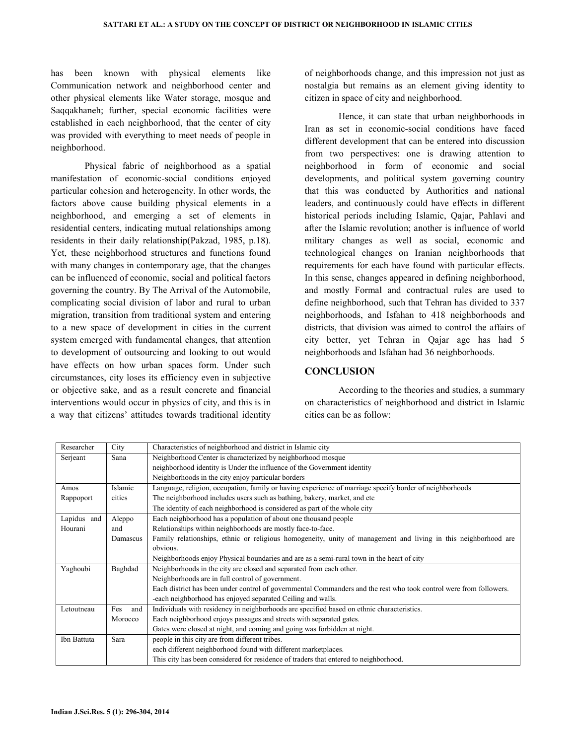has been known with physical elements like Communication network and neighborhood center and other physical elements like Water storage, mosque and Saqqakhaneh; further, special economic facilities were established in each neighborhood, that the center of city was provided with everything to meet needs of people in neighborhood.

 Physical fabric of neighborhood as a spatial manifestation of economic-social conditions enjoyed particular cohesion and heterogeneity. In other words, the factors above cause building physical elements in a neighborhood, and emerging a set of elements in residential centers, indicating mutual relationships among residents in their daily relationship(Pakzad, 1985, p.18). Yet, these neighborhood structures and functions found with many changes in contemporary age, that the changes can be influenced of economic, social and political factors governing the country. By The Arrival of the Automobile, complicating social division of labor and rural to urban migration, transition from traditional system and entering to a new space of development in cities in the current system emerged with fundamental changes, that attention to development of outsourcing and looking to out would have effects on how urban spaces form. Under such circumstances, city loses its efficiency even in subjective or objective sake, and as a result concrete and financial interventions would occur in physics of city, and this is in a way that citizens' attitudes towards traditional identity of neighborhoods change, and this impression not just as nostalgia but remains as an element giving identity to citizen in space of city and neighborhood.

 Hence, it can state that urban neighborhoods in Iran as set in economic-social conditions have faced different development that can be entered into discussion from two perspectives: one is drawing attention to neighborhood in form of economic and social developments, and political system governing country that this was conducted by Authorities and national leaders, and continuously could have effects in different historical periods including Islamic, Qajar, Pahlavi and after the Islamic revolution; another is influence of world military changes as well as social, economic and technological changes on Iranian neighborhoods that requirements for each have found with particular effects. In this sense, changes appeared in defining neighborhood, and mostly Formal and contractual rules are used to define neighborhood, such that Tehran has divided to 337 neighborhoods, and Isfahan to 418 neighborhoods and districts, that division was aimed to control the affairs of city better, yet Tehran in Qajar age has had 5 neighborhoods and Isfahan had 36 neighborhoods.

### **CONCLUSION**

 According to the theories and studies, a summary on characteristics of neighborhood and district in Islamic cities can be as follow:

| Researcher  | City       | Characteristics of neighborhood and district in Islamic city                                                       |
|-------------|------------|--------------------------------------------------------------------------------------------------------------------|
| Serjeant    | Sana       | Neighborhood Center is characterized by neighborhood mosque                                                        |
|             |            | neighborhood identity is Under the influence of the Government identity                                            |
|             |            | Neighborhoods in the city enjoy particular borders                                                                 |
| Amos        | Islamic    | Language, religion, occupation, family or having experience of marriage specify border of neighborhoods            |
| Rappoport   | cities     | The neighborhood includes users such as bathing, bakery, market, and etc                                           |
|             |            | The identity of each neighborhood is considered as part of the whole city                                          |
| Lapidus and | Aleppo     | Each neighborhood has a population of about one thousand people                                                    |
| Hourani     | and        | Relationships within neighborhoods are mostly face-to-face.                                                        |
|             | Damascus   | Family relationships, ethnic or religious homogeneity, unity of management and living in this neighborhood are     |
|             |            | obvious.                                                                                                           |
|             |            | Neighborhoods enjoy Physical boundaries and are as a semi-rural town in the heart of city                          |
| Yaghoubi    | Baghdad    | Neighborhoods in the city are closed and separated from each other.                                                |
|             |            | Neighborhoods are in full control of government.                                                                   |
|             |            | Each district has been under control of governmental Commanders and the rest who took control were from followers. |
|             |            | -each neighborhood has enjoyed separated Ceiling and walls.                                                        |
| Letoutneau  | Fes<br>and | Individuals with residency in neighborhoods are specified based on ethnic characteristics.                         |
|             | Morocco    | Each neighborhood enjoys passages and streets with separated gates.                                                |
|             |            | Gates were closed at night, and coming and going was forbidden at night.                                           |
| Ibn Battuta | Sara       | people in this city are from different tribes.                                                                     |
|             |            | each different neighborhood found with different marketplaces.                                                     |
|             |            | This city has been considered for residence of traders that entered to neighborhood.                               |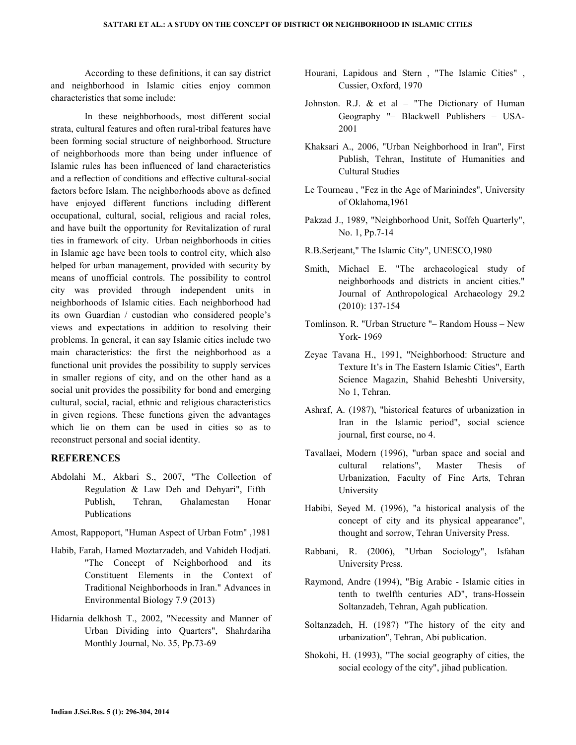According to these definitions, it can say district and neighborhood in Islamic cities enjoy common characteristics that some include:

 In these neighborhoods, most different social strata, cultural features and often rural-tribal features have been forming social structure of neighborhood. Structure of neighborhoods more than being under influence of Islamic rules has been influenced of land characteristics and a reflection of conditions and effective cultural-social factors before Islam. The neighborhoods above as defined have enjoyed different functions including different occupational, cultural, social, religious and racial roles, and have built the opportunity for Revitalization of rural ties in framework of city. Urban neighborhoods in cities in Islamic age have been tools to control city, which also helped for urban management, provided with security by means of unofficial controls. The possibility to control city was provided through independent units in neighborhoods of Islamic cities. Each neighborhood had its own Guardian / custodian who considered people's views and expectations in addition to resolving their problems. In general, it can say Islamic cities include two main characteristics: the first the neighborhood as a functional unit provides the possibility to supply services in smaller regions of city, and on the other hand as a social unit provides the possibility for bond and emerging cultural, social, racial, ethnic and religious characteristics in given regions. These functions given the advantages which lie on them can be used in cities so as to reconstruct personal and social identity.

### REFERENCES

- Abdolahi M., Akbari S., 2007, "The Collection of Regulation & Law Deh and Dehyari", Fifth Publish, Tehran, Ghalamestan Honar Publications
- Amost, Rappoport, "Human Aspect of Urban Fotm" ,1981
- Habib, Farah, Hamed Moztarzadeh, and Vahideh Hodjati. "The Concept of Neighborhood and its Constituent Elements in the Context of Traditional Neighborhoods in Iran." Advances in Environmental Biology 7.9 (2013)
- Hidarnia delkhosh T., 2002, "Necessity and Manner of Urban Dividing into Quarters", Shahrdariha Monthly Journal, No. 35, Pp.73-69
- Hourani, Lapidous and Stern , "The Islamic Cities" , Cussier, Oxford, 1970
- Johnston. R.J.  $\&$  et al "The Dictionary of Human Geography "– Blackwell Publishers – USA-2001
- Khaksari A., 2006, "Urban Neighborhood in Iran", First Publish, Tehran, Institute of Humanities and Cultural Studies
- Le Tourneau , "Fez in the Age of Marinindes", University of Oklahoma,1961
- Pakzad J., 1989, "Neighborhood Unit, Soffeh Quarterly", No. 1, Pp.7-14
- R.B.Serjeant," The Islamic City", UNESCO,1980
- Smith, Michael E. "The archaeological study of neighborhoods and districts in ancient cities." Journal of Anthropological Archaeology 29.2 (2010): 137-154
- Tomlinson. R. "Urban Structure "– Random Houss New York- 1969
- Zeyae Tavana H., 1991, "Neighborhood: Structure and Texture It's in The Eastern Islamic Cities", Earth Science Magazin, Shahid Beheshti University, No 1, Tehran.
- Ashraf, A. (1987), "historical features of urbanization in Iran in the Islamic period", social science journal, first course, no 4.
- Tavallaei, Modern (1996), "urban space and social and cultural relations", Master Thesis of Urbanization, Faculty of Fine Arts, Tehran University
- Habibi, Seyed M. (1996), "a historical analysis of the concept of city and its physical appearance", thought and sorrow, Tehran University Press.
- Rabbani, R. (2006), "Urban Sociology", Isfahan University Press.
- Raymond, Andre (1994), "Big Arabic Islamic cities in tenth to twelfth centuries AD", trans-Hossein Soltanzadeh, Tehran, Agah publication.
- Soltanzadeh, H. (1987) "The history of the city and urbanization", Tehran, Abi publication.
- Shokohi, H. (1993), "The social geography of cities, the social ecology of the city", jihad publication.